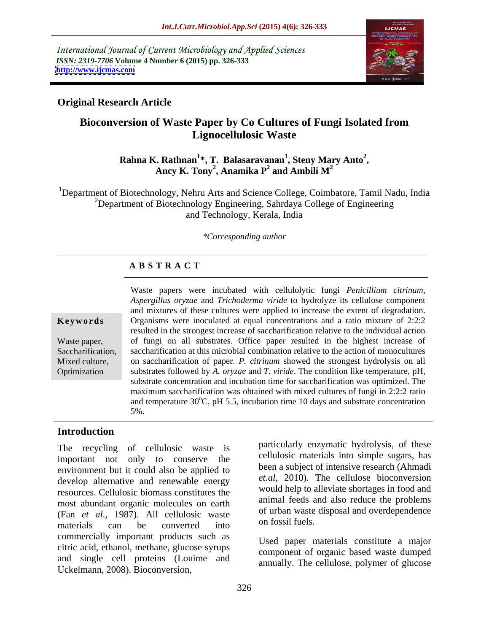International Journal of Current Microbiology and Applied Sciences *ISSN: 2319-7706* **Volume 4 Number 6 (2015) pp. 326-333 <http://www.ijcmas.com>**



#### **Original Research Article**

### **Bioconversion of Waste Paper by Co Cultures of Fungi Isolated from Lignocellulosic Waste**

#### **Rahna K. Rathnan<sup>1</sup> \*, T. Balasaravanan<sup>1</sup> , Steny Mary Anto<sup>2</sup>** . Rathnan<sup>1</sup>\*, T. Balasaravanan<sup>1</sup>, Steny Mary Anto<sup>2</sup>,<br>Ancy K. Tony<sup>2</sup>, Anamika P<sup>2</sup> and Ambili M<sup>2</sup> **and Ambili M<sup>2</sup>**

<sup>1</sup>Department of Biotechnology, Nehru Arts and Science College, Coimbatore, Tamil Nadu, India  $2D$ epartment of Biotechnology Engineering, Sahrdaya College of Engineering and Technology, Kerala, India

#### *\*Corresponding author*

#### **A B S T R A C T**

Optimization

Waste papers were incubated with cellulolytic fungi *Penicillium citrinum*, *Aspergillus oryzae* and *Trichoderma viride* to hydrolyze its cellulose component and mixtures of these cultures were applied to increase the extent of degradation. **Keywords** Organisms were inoculated at equal concentrations and a ratio mixture of 2:2:2 resulted in the strongest increase of saccharification relative to the individual action Waste paper, of fungi on all substrates. Office paper resulted in the highest increase of Saccharification, saccharification at this microbial combination relative to the action of monocultures Mixed culture, on saccharification of paper. P. *citrinum* showed the strongest hydrolysis on all substrates followed by *A. oryzae* and *T. viride*. The condition like temperature, pH, substrate concentration and incubation time for saccharification was optimized. The maximum saccharification was obtained with mixed cultures of fungi in 2:2:2 ratio and temperature 30°C, pH 5.5, incubation time 10 days and substrate concentration 5%.

#### **Introduction**

The recycling of cellulosic waste is important not only to conserve the environment but it could also be applied to develop alternative and renewable energy resources. Cellulosic biomass constitutes the most abundant organic molecules on earth (Fan *et al.,* 1987). All cellulosic waste materials can be converted into <sup>on lossil luels.</sup> commercially important products such as citric acid, ethanol, methane, glucose syrups and single cell proteins (Louime and Uckelmann, 2008). Bioconversion,

particularly enzymatic hydrolysis, of these cellulosic materials into simple sugars, has been a subject of intensive research (Ahmadi *et.al,* 2010). The cellulose bioconversion would help to alleviate shortages in food and animal feeds and also reduce the problems of urban waste disposal and overdependence on fossil fuels.

Used paper materials constitute a major component of organic based waste dumped annually. The cellulose, polymer of glucose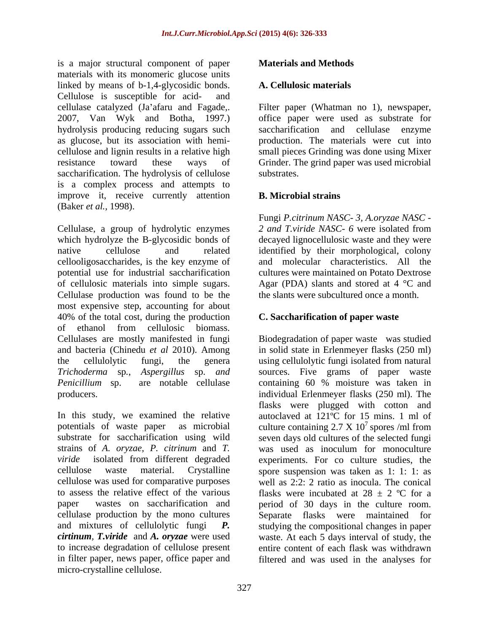is a major structural component of paper **Materials and Methods** materials with its monomeric glucose units linked by means of b-1,4-glycosidic bonds. A. Cellulosic materials Cellulose is susceptible for acid- and cellulase catalyzed (Ja'afaru and Fagade,. Filter paper (Whatman no 1), newspaper, 2007, Van Wyk and Botha, 1997.) office paper were used as substrate for hydrolysis producing reducing sugars such as glucose, but its association with hemi cellulose and lignin results in a relative high small pieces Grinding was done using Mixer resistance toward these ways of Grinder. The grind paper was used microbial saccharification. The hydrolysis of cellulose substrates. is a complex process and attempts to improve it, receive currently attention **B. Microbial strains** (Baker *et al.,* 1998).

Cellulase, a group of hydrolytic enzymes *2 and T.viride NASC- 6* were isolated from which hydrolyze the B-glycosidic bonds of decayed lignocellulosic waste and they were native cellulose and related identified by their morphological, colony cellooligosaccharides, is the key enzyme of potential use for industrial saccharification of cellulosic materials into simple sugars. Agar (PDA) slants and stored at 4 °C and Cellulase production was found to be the most expensive step, accounting for about 40% of the total cost, during the production of ethanol from cellulosic biomass. Cellulases are mostly manifested in fungi Biodegradation of paper waste was studied and bacteria (Chinedu *et al* 2010). Among in solid state in Erlenmeyer flasks (250 ml) the cellulolytic fungi, the genera using cellulolytic fungi isolated from natural *Trichoderma* sp*.*, *Aspergillus* sp. *and* sources. Five grams of paper waste *Penicillium* sp. are notable cellulase containing 60 % moisture was taken in producers. individual Erlenmeyer flasks (250 ml). The

In this study, we examined the relative autoclaved at 121°C for 15 mins. 1 ml of potentials of waste paper as microbial culture containing  $2.7 \times 10^7$  spores/ml from substrate for saccharification using wild seven days old cultures of the selected fungi strains of *A. oryzae, P. citrinum* and *T.*  was used as inoculum for monoculture *viride* isolated from different degraded experiments. For co culture studies, the cellulose waste material. Crystalline spore suspension was taken as 1: 1: 1: as cellulose was used for comparative purposes well as 2:2: 2 ratio as inocula. The conical to assess the relative effect of the various flasks were incubated at  $28 \pm 2$  °C for a paper wastes on saccharification and period of 30 days in the culture room. cellulase production by the mono cultures Separate flasks were maintained for and mixtures of cellulolytic fungi *P.* studying the compositional changes in paper *cirtinum, T.viride* and *A. oryzae* were used waste. At each 5 days interval of study, the to increase degradation of cellulose present entire content of each flask was withdrawn in filter paper, news paper, office paper and filtered and was used in the analyses for micro-crystalline cellulose.

### **Materials and Methods**

#### **A. Cellulosic materials**

saccharification and cellulase enzyme production. The materials were cut into substrates.

#### **B. Microbial strains**

Fungi *P.citrinum NASC- 3, A.oryzae NASC*  and molecular characteristics. All the cultures were maintained on Potato Dextrose the slants were subcultured once a month.

#### **C. Saccharification of paper waste**

flasks were plugged with cotton and  $^7$  spores /ml from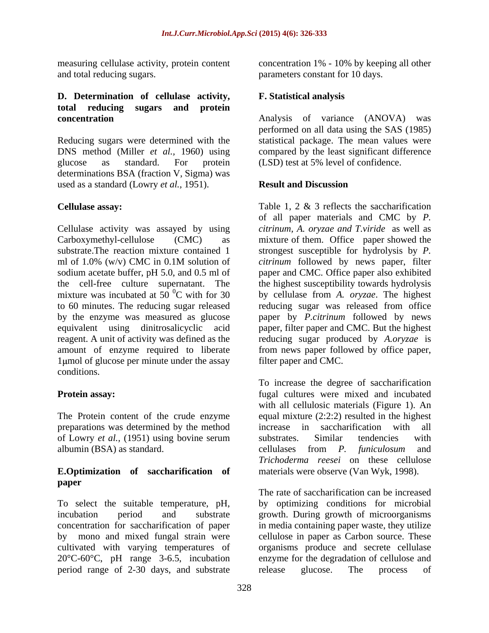## **D. Determination of cellulase activity, total reducing sugars and protein**

DNS method (Miller *et al.,* 1960) using glucose as standard. For protein (LSD) test at 5% level of confidence. determinations BSA (fraction V, Sigma) was used as a standard (Lowry *et al.,* 1951).

Cellulase activity was assayed by using *citrinum, A. oryzae and T.viride* as well as Carboxymethyl-cellulose (CMC) as mixture of them. Office paper showed the substrate.The reaction mixture contained 1 strongest susceptible for hydrolysis by *P.*  ml of 1.0% (w/v) CMC in 0.1M solution of  $citrinum$  followed by news paper, filter sodium acetate buffer, pH 5.0, and 0.5 ml of paper and CMC. Office paper also exhibited the cell-free culture supernatant. The mixture was incubated at 50 $^{0}$ C with for 30 mixture was incubated at 50 0C with for 30 by cellulase from *A. oryzae*. The highest to 60 minutes. The reducing sugar released reducing sugar was released from office by the enzyme was measured as glucose paper by *P.citrinum* followed by news equivalent using dinitrosalicyclic acid paper, filter paper and CMC. But the highest reagent. A unit of activity was defined as the reducing sugar produced by *A.oryzae* is amount of enzyme required to liberate from news paper followed by office paper, 1 km l of glucose per minute under the assay conditions.

The Protein content of the crude enzyme preparations was determined by the method of Lowry *et al.,* (1951) using bovine serum

# **paper**

period range of 2-30 days, and substrate release glucose. The process of

measuring cellulase activity, protein content concentration 1% - 10% by keeping all other and total reducing sugars. parameters constant for 10 days.

#### **F. Statistical analysis**

**concentration** Analysis of variance (ANOVA) was Reducing sugars were determined with the statistical package. The mean values were performed on all data using the SAS (1985) compared by the least significant difference

#### **Result and Discussion**

**Cellulase assay:** Table 1, 2 & 3 reflects the saccharification of all paper materials and CMC by *P. citrinum* followed by news paper, filter the highest susceptibility towards hydrolysis filter paper and CMC.

**Protein assay:** The same state of the state of the state of the state of the state of the state of the state of the state of the state of the state of the state of the state of the state of the state of the state of the s albumin (BSA) as standard. cellulases from *P. funiculosum* and **E.Optimization of saccharification of** materials were observe (Van Wyk, 1998). To increase the degree of saccharification with all cellulosic materials (Figure 1). An equal mixture (2:2:2) resulted in the highest increase in saccharification with substrates. Similar tendencies with *Trichoderma reesei* on these cellulose

To select the suitable temperature, pH, by optimizing conditions for microbial incubation period and substrate growth. During growth of microorganisms concentration for saccharification of paper in media containing paper waste, they utilize by mono and mixed fungal strain were cellulose in paper as Carbon source. These cultivated with varying temperatures of organisms produce and secrete cellulase 20°C-60°C, pH range 3-6.5, incubation enzyme for the degradation of cellulose and The rate of saccharification can be increased release glucose. The process of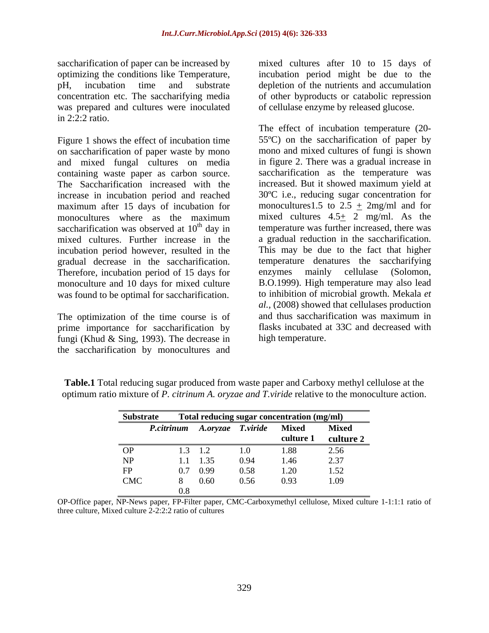saccharification of paper can be increased by mixed cultures after 10 to 15 days of was prepared and cultures were inoculated in 2:2:2 ratio.

Figure 1 shows the effect of incubation time on saccharification of paper waste by mono and mixed fungal cultures on media containing waste paper as carbon source. The Saccharification increased with the increase in incubation period and reached maximum after 15 days of incubation for monocultures where as the maximum saccharification was observed at  $10<sup>th</sup>$  day in mixed cultures. Further increase in the a gradual reduction in the saccharification. incubation period however, resulted in the gradual decrease in the saccharification. Therefore, incubation period of 15 days for enzymes mainly cellulase (Solomon, monoculture and 10 days for mixed culture was found to be optimal for saccharification.

prime importance for saccharification by fungi (Khud & Sing, 1993). The decrease in the saccharification by monocultures and

optimizing the conditions like Temperature, incubation period might be due to the pH, incubation time and substrate depletion of the nutrients and accumulation concentration etc. The saccharifying media of other byproducts or catabolic repression of cellulase enzyme by released glucose.

<sup>th</sup> day in temperature was further increased, there was The optimization of the time course is of and thus saccharification was maximum in The effect of incubation temperature (20- 55ºC) on the saccharification of paper by mono and mixed cultures of fungi is shown in figure 2. There was a gradual increase in saccharification as the temperature was increased. But it showed maximum yield at 30ºC i.e., reducing sugar concentration for monocultures1.5 to  $2.5 + 2mg/ml$  and for mixed cultures 4.5+ 2 mg/ml. As the This may be due to the fact that higher temperature denatures the saccharifying enzymes mainly cellulase (Solomon, B.O.1999). High temperature may also lead to inhibition of microbial growth. Mekala *et al.,* (2008) showed that cellulases production and thus saccharification was maximum in flasks incubated at 33C and decreased with high temperature.

| Substrate  |            |          |                   | Total reducing sugar concentration (mg/ml) |                    |
|------------|------------|----------|-------------------|--------------------------------------------|--------------------|
|            | P.citrinum |          | A.oryzae T.viride | <b>Mixed</b>                               | <b>Mixed</b>       |
|            |            |          |                   | culture 1                                  | culture 2          |
| <b>OP</b>  |            |          |                   |                                            | $\bigcap$ 56<br>⊷… |
| NP         |            | 1.1 1.35 | 0.94              |                                            | 2.37               |
| <b>ED</b>  |            | 0.7 0.99 | 0.58              | $\sim$                                     | 1.52               |
| <b>CMC</b> |            | () 6C    | 0.56              | 0.93                                       | 1.09               |
|            |            |          |                   |                                            |                    |

**Table.1** Total reducing sugar produced from waste paper and Carboxy methyl cellulose at the optimum ratio mixture of *P. citrinum A. oryzae and T.viride* relative to the monoculture action.

OP-Office paper, NP-News paper, FP-Filter paper, CMC-Carboxymethyl cellulose, Mixed culture 1-1:1:1 ratio of three culture, Mixed culture 2-2:2:2 ratio of cultures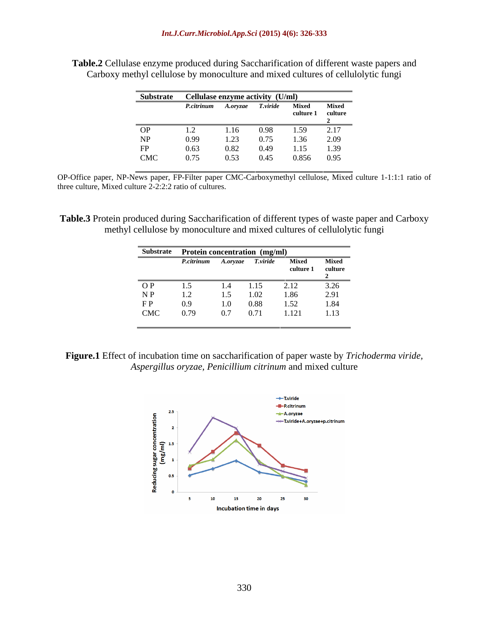| Substrate Cellulase enzyme activity (U/ml) |                                          |      |      |                   |      |
|--------------------------------------------|------------------------------------------|------|------|-------------------|------|
|                                            | P.citrinum A.oryzae T.viride Mixed Mixed |      |      |                   |      |
|                                            |                                          |      |      | culture 1 culture |      |
|                                            |                                          |      |      |                   |      |
| OP                                         |                                          | 1.16 | 0.98 | 1.50              |      |
| NP                                         | 0.99                                     | 1.23 | 0.75 | 1,36              | 2.09 |
| FP<br>$\mathbf{r}$                         | 0.63                                     |      | 0.49 |                   | 1.39 |
| CMC                                        | 0.75                                     | 0.53 | 0.45 | 0.856 0.95        |      |

**Table.2** Cellulase enzyme produced during Saccharification of different waste papers and Carboxy methyl cellulose by monoculture and mixed cultures of cellulolytic fungi

OP-Office paper, NP-News paper, FP-Filter paper CMC-Carboxymethyl cellulose, Mixed culture 1-1:1:1 ratio of three culture, Mixed culture 2-2:2:2 ratio of cultures.

**Table.3** Protein produced during Saccharification of different types of waste paper and Carboxy methyl cellulose by monoculture and mixed cultures of cellulolytic fungi

|     | Substrate Protein concentration (mg/ml) |          |          |                            |              |
|-----|-----------------------------------------|----------|----------|----------------------------|--------------|
|     | P.citrinum                              | A.oryzae | T.viride | Mixed<br>culture 1 culture | <b>Mixed</b> |
|     |                                         |          |          |                            |              |
| O P |                                         |          |          | $\bigcap$ 1 $\bigcap$      | $\sim$       |
| N P | $\pm$ . $\angle$                        |          | 1.02     | 1.86                       | 2.91         |
| F P |                                         | $1.0-$   | 0.88     | $\cdot$ $\cdot$ $\sim$ $-$ | 1.84         |
| CMC | 0.79                                    | 0.7      | 0.71     | 1.31                       | 1.13         |

**Figure.1** Effect of incubation time on saccharification of paper waste by *Trichoderma viride, Aspergillus oryzae, Penicillium citrinum* and mixed culture

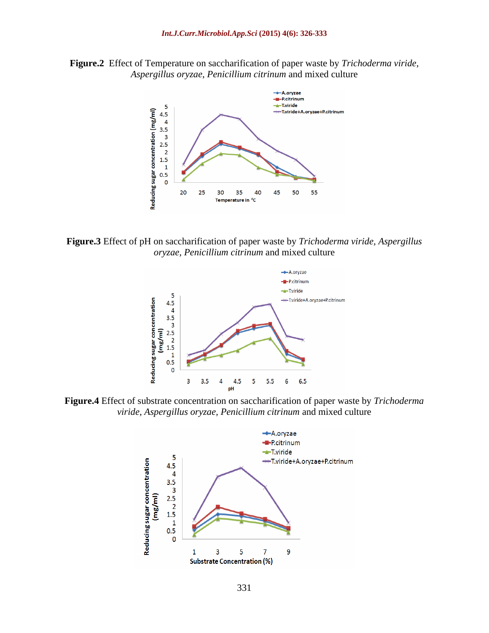**Figure.2** Effect of Temperature on saccharification of paper waste by *Trichoderma viride*, *Aspergillus oryzae*, *Penicillium citrinum* and mixed culture



**Figure.3** Effect of pH on saccharification of paper waste by *Trichoderma viride, Aspergillus oryzae, Penicillium citrinum* and mixed culture



**Figure.4** Effect of substrate concentration on saccharification of paper waste by *Trichoderma viride, Aspergillus oryzae, Penicillium citrinum* and mixed culture

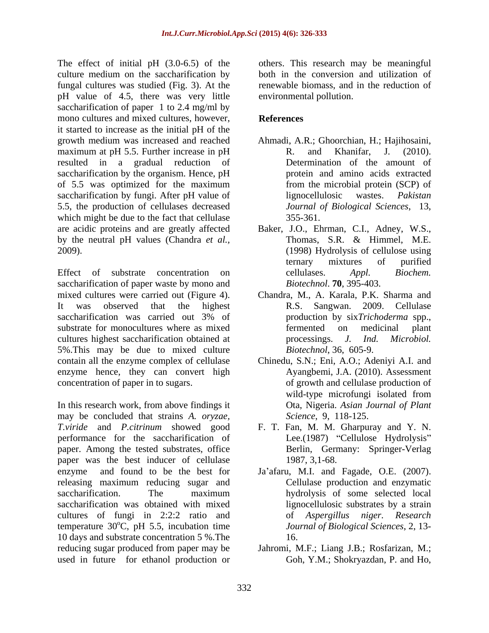The effect of initial pH (3.0-6.5) of the culture medium on the saccharification by fungal cultures was studied (Fig. 3). At the pH value of 4.5, there was very little saccharification of paper 1 to 2.4 mg/ml by mono cultures and mixed cultures, however, **References** it started to increase as the initial pH of the maximum at pH 5.5. Further increase in pH R. and Khanifar, J. (2010). resulted in a gradual reduction of saccharification by the organism. Hence, pH of 5.5 was optimized for the maximum saccharification by fungi. After pH value of lignocellulosic wastes. Pakistan 5.5, the production of cellulases decreased which might be due to the fact that cellulase 355-361. by the neutral pH values (Chandra *et al.,*

saccharification of paper waste by mono and<br>mixed cultures were carried out (Figure 4). mixed cultures were carried out (Figure 4). Chandra, M., A. Karala, P.K. Sharma and<br>It was observed that the highest R.S. Sangwan. 2009. Cellulase saccharification was carried out 3% of production by sixTrichoderma spp., substrate for monocultures where as mixed fermented on medicinal plant cultures highest saccharification obtained at processings. J. Ind. Microbiol. 5%.This may be due to mixed culture contain all the enzyme complex of cellulase Chinedu, S.N.; Eni, A.O.; Adeniyi A.I. and enzyme hence, they can convert high

In this research work, from above findings it may be concluded that strains *A. oryzae, T.viride* and *P.citrinum* showed good performance for the saccharification of Lee.(1987) "Cellulose Hydrolysis" paper. Among the tested substrates, office paper was the best inducer of cellulase 1987, 3,1-68. enzyme and found to be the best for Ja'afaru, M.I. and Fagade, O.E. (2007). releasing maximum reducing sugar and saccharification. The maximum hydrolysis of some selected local saccharification was obtained with mixed cultures of fungi in 2:2:2 ratio and temperature  $30^{\circ}$ C, pH 5.5, incubation time 10 days and substrate concentration 5 %.The reducing sugar produced from paper may be Jahromi, M.F.; Liang J.B.; Rosfarizan, M.; used in future for ethanol production or

others. This research may be meaningful both in the conversion and utilization of renewable biomass, and in the reduction of environmental pollution.

### **References**

- growth medium was increased and reached Ahmadi, A.R.; Ghoorchian, H.; Hajihosaini, R. and Khanifar, J. (2010). Determination of the amount of protein and amino acids extracted from the microbial protein (SCP) of lignocellulosic wastes. *Pakistan Journal of Biological Sciences*, 13, 355-361.
- are acidic proteins and are greatly affected Baker, J.O., Ehrman, C.I., Adney, W.S., 2009). (1998) Hydrolysis of cellulose using Effect of substrate concentration on cellulases. Appl. Biochem. Thomas, S.R. & Himmel, M.E. ternary mixtures of purified cellulases. *Appl. Biochem. Biotechnol*. **70**, 395-403.
	- Chandra, M., A. Karala, P.K. Sharma and R.S. Sangwan. 2009. Cellulase production by six*Trichoderma* spp., fermented on medicinal plant processings. *J. Ind. Microbiol. Biotechnol*, 36, 605-9.
- concentration of paper in to sugars. of growth and cellulase production of Ayangbemi, J.A. (2010). Assessment wild-type microfungi isolated from Ota, Nigeria. *Asian Journal of Plant Science*, 9, 118-125.
	- F. T. Fan, M. M. Gharpuray and Y. N. Berlin, Germany: Springer-Verlag 1987, 3,1-68.
	- oC, pH 5.5, incubation time *Journal of Biological Sciences*, 2, 13- Cellulase production and enzymatic lignocellulosic substrates by a strain of *Aspergillus niger*. *Research*  16.
		- Goh, Y.M.; Shokryazdan, P. and Ho,